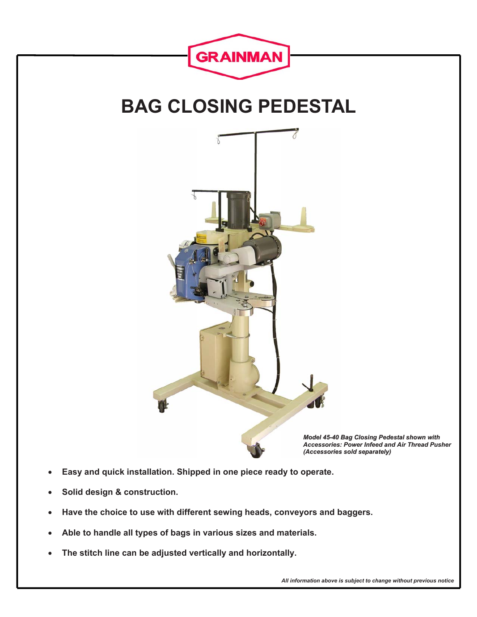

- **Solid design & construction.**
- **Have the choice to use with different sewing heads, conveyors and baggers.**
- **Able to handle all types of bags in various sizes and materials.**
- **The stitch line can be adjusted vertically and horizontally.**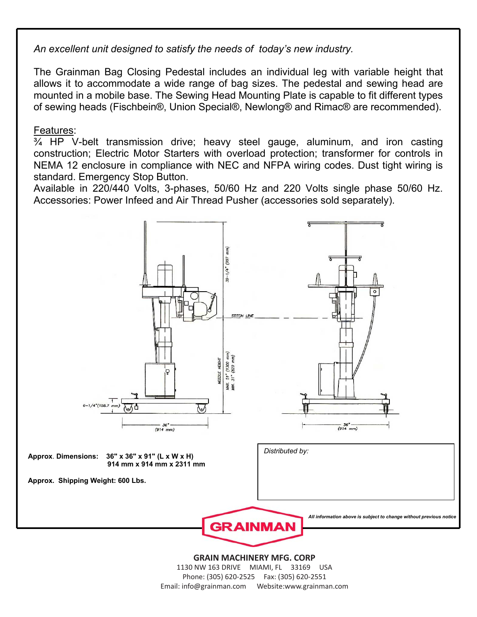*An excellent unit designed to satisfy the needs of today's new industry.* 

The Grainman Bag Closing Pedestal includes an individual leg with variable height that allows it to accommodate a wide range of bag sizes. The pedestal and sewing head are mounted in a mobile base. The Sewing Head Mounting Plate is capable to fit different types of sewing heads (Fischbein®, Union Special®, Newlong® and Rimac® are recommended).

## Features:

¾ HP V-belt transmission drive; heavy steel gauge, aluminum, and iron casting construction; Electric Motor Starters with overload protection; transformer for controls in NEMA 12 enclosure in compliance with NEC and NFPA wiring codes. Dust tight wiring is standard. Emergency Stop Button.

Available in 220/440 Volts, 3-phases, 50/60 Hz and 220 Volts single phase 50/60 Hz. Accessories: Power Infeed and Air Thread Pusher (accessories sold separately).



1130 NW 163 Drive • Miami, FL 33169 • USA 1130 NW 163 DRIVE MIAMI, FL 33169 USA Phone: (305) 620-2525 • Fax: (305) 620-2551 Phone: (305) 620-2525 Fax: (305) 620-2551 Email: info@grainman.com Website:www.grainman.com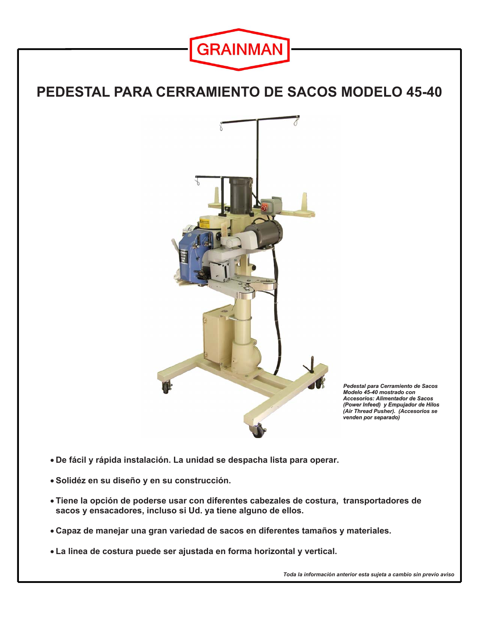

## **PEDESTAL PARA CERRAMIENTO DE SACOS MODELO 45-40**



*Pedestal para Cerramiento de Sacos Modelo 45-40 mostrado con Accesorios: Alimentador de Sacos (Power Infeed) y Empujador de Hilos (Air Thread Pusher). (Accesorios se venden por separado)*

- **De fácil y rápida instalación. La unidad se despacha lista para operar.**
- **Solidéz en su diseño y en su construcción.**
- **Tiene la opción de poderse usar con diferentes cabezales de costura, transportadores de sacos y ensacadores, incluso si Ud. ya tiene alguno de ellos.**
- **Capaz de manejar una gran variedad de sacos en diferentes tamaños y materiales.**
- **La linea de costura puede ser ajustada en forma horizontal y vertical.**